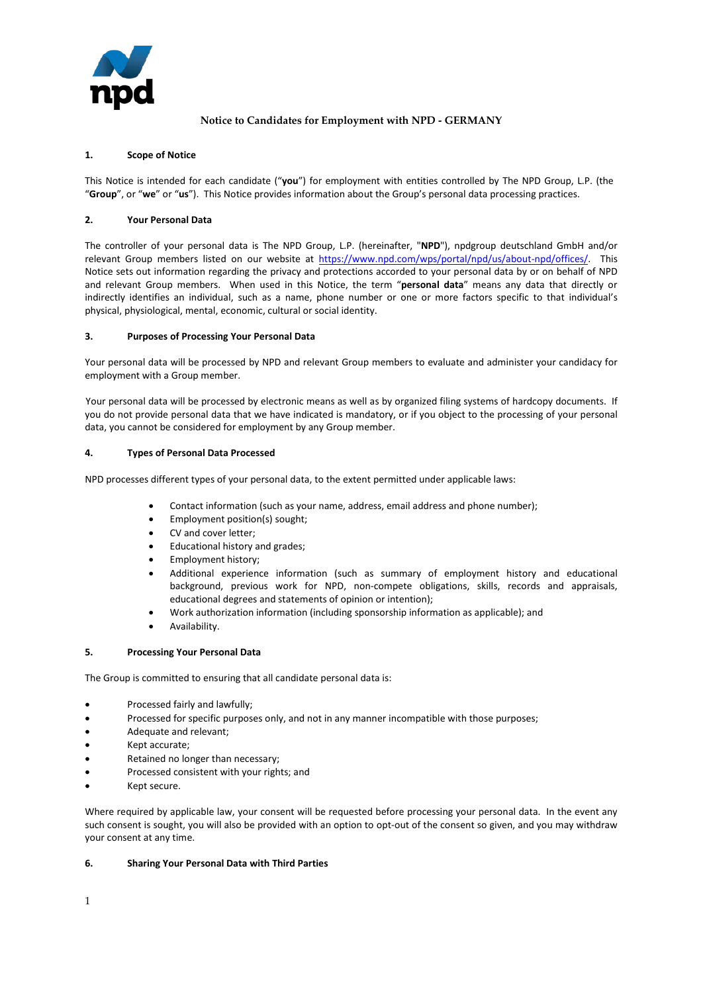

# **Notice to Candidates for Employment with NPD - GERMANY**

### **1. Scope of Notice**

This Notice is intended for each candidate ("**you**") for employment with entities controlled by The NPD Group, L.P. (the "**Group**", or "**we**" or "**us**"). This Notice provides information about the Group's personal data processing practices.

## **2. Your Personal Data**

The controller of your personal data is The NPD Group, L.P. (hereinafter, "**NPD**"), npdgroup deutschland GmbH and/or relevant Group members listed on our website a[t https://www.npd.com/wps/portal/npd/us/about-npd/offices/.](https://www.npd.com/wps/portal/npd/us/about-npd/offices/) This Notice sets out information regarding the privacy and protections accorded to your personal data by or on behalf of NPD and relevant Group members. When used in this Notice, the term "**personal data**" means any data that directly or indirectly identifies an individual, such as a name, phone number or one or more factors specific to that individual's physical, physiological, mental, economic, cultural or social identity.

#### **3. Purposes of Processing Your Personal Data**

Your personal data will be processed by NPD and relevant Group members to evaluate and administer your candidacy for employment with a Group member.

Your personal data will be processed by electronic means as well as by organized filing systems of hardcopy documents. If you do not provide personal data that we have indicated is mandatory, or if you object to the processing of your personal data, you cannot be considered for employment by any Group member.

#### **4. Types of Personal Data Processed**

NPD processes different types of your personal data, to the extent permitted under applicable laws:

- Contact information (such as your name, address, email address and phone number);
- Employment position(s) sought;
- CV and cover letter;
- Educational history and grades;
- Employment history;
- Additional experience information (such as summary of employment history and educational background, previous work for NPD, non-compete obligations, skills, records and appraisals, educational degrees and statements of opinion or intention);
- Work authorization information (including sponsorship information as applicable); and
- Availability.

#### **5. Processing Your Personal Data**

The Group is committed to ensuring that all candidate personal data is:

- Processed fairly and lawfully;
- Processed for specific purposes only, and not in any manner incompatible with those purposes;
- Adequate and relevant;
- Kept accurate;
- Retained no longer than necessary;
- Processed consistent with your rights; and
- Kept secure.

Where required by applicable law, your consent will be requested before processing your personal data. In the event any such consent is sought, you will also be provided with an option to opt-out of the consent so given, and you may withdraw your consent at any time.

#### **6. Sharing Your Personal Data with Third Parties**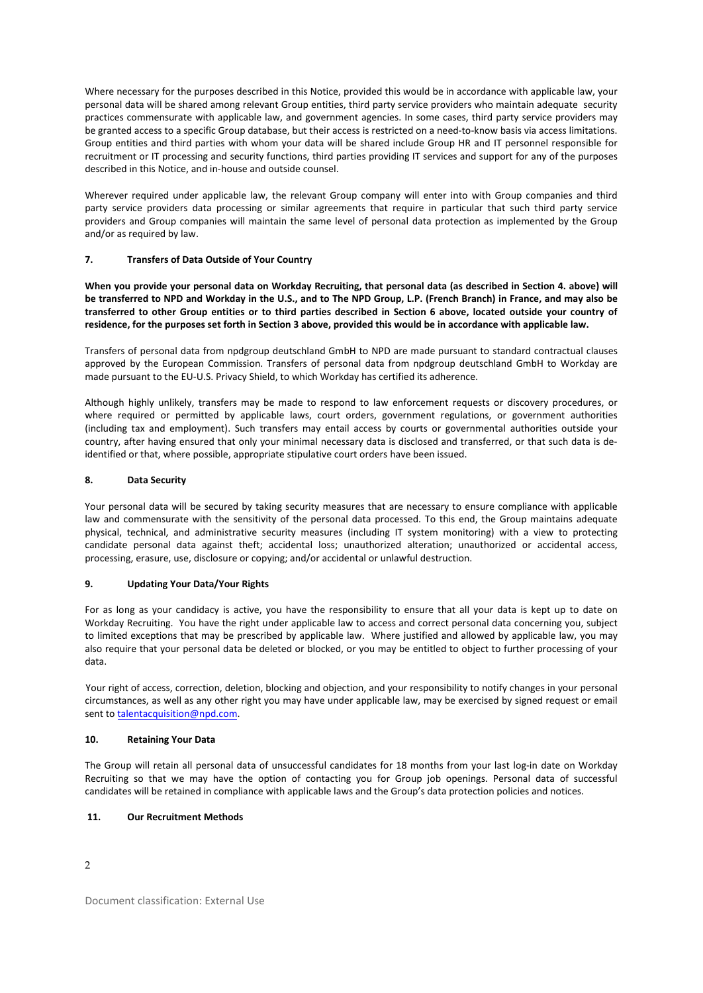Where necessary for the purposes described in this Notice, provided this would be in accordance with applicable law, your personal data will be shared among relevant Group entities, third party service providers who maintain adequate security practices commensurate with applicable law, and government agencies. In some cases, third party service providers may be granted access to a specific Group database, but their access is restricted on a need-to-know basis via access limitations. Group entities and third parties with whom your data will be shared include Group HR and IT personnel responsible for recruitment or IT processing and security functions, third parties providing IT services and support for any of the purposes described in this Notice, and in-house and outside counsel.

Wherever required under applicable law, the relevant Group company will enter into with Group companies and third party service providers data processing or similar agreements that require in particular that such third party service providers and Group companies will maintain the same level of personal data protection as implemented by the Group and/or as required by law.

## **7. Transfers of Data Outside of Your Country**

**When you provide your personal data on Workday Recruiting, that personal data (as described in Section 4. above) will be transferred to NPD and Workday in the U.S., and to The NPD Group, L.P. (French Branch) in France, and may also be transferred to other Group entities or to third parties described in Section 6 above, located outside your country of residence, for the purposes set forth in Section 3 above, provided this would be in accordance with applicable law.**

Transfers of personal data from npdgroup deutschland GmbH to NPD are made pursuant to standard contractual clauses approved by the European Commission. Transfers of personal data from npdgroup deutschland GmbH to Workday are made pursuant to the EU-U.S. Privacy Shield, to which Workday has certified its adherence.

Although highly unlikely, transfers may be made to respond to law enforcement requests or discovery procedures, or where required or permitted by applicable laws, court orders, government regulations, or government authorities (including tax and employment). Such transfers may entail access by courts or governmental authorities outside your country, after having ensured that only your minimal necessary data is disclosed and transferred, or that such data is deidentified or that, where possible, appropriate stipulative court orders have been issued.

## **8. Data Security**

Your personal data will be secured by taking security measures that are necessary to ensure compliance with applicable law and commensurate with the sensitivity of the personal data processed. To this end, the Group maintains adequate physical, technical, and administrative security measures (including IT system monitoring) with a view to protecting candidate personal data against theft; accidental loss; unauthorized alteration; unauthorized or accidental access, processing, erasure, use, disclosure or copying; and/or accidental or unlawful destruction.

#### **9. Updating Your Data/Your Rights**

For as long as your candidacy is active, you have the responsibility to ensure that all your data is kept up to date on Workday Recruiting. You have the right under applicable law to access and correct personal data concerning you, subject to limited exceptions that may be prescribed by applicable law. Where justified and allowed by applicable law, you may also require that your personal data be deleted or blocked, or you may be entitled to object to further processing of your data.

Your right of access, correction, deletion, blocking and objection, and your responsibility to notify changes in your personal circumstances, as well as any other right you may have under applicable law, may be exercised by signed request or email sent t[o talentacquisition@npd.com.](mailto:talentacquisition@npd.com) 

#### **10. Retaining Your Data**

The Group will retain all personal data of unsuccessful candidates for 18 months from your last log-in date on Workday Recruiting so that we may have the option of contacting you for Group job openings. Personal data of successful candidates will be retained in compliance with applicable laws and the Group's data protection policies and notices.

## **11. Our Recruitment Methods**

2